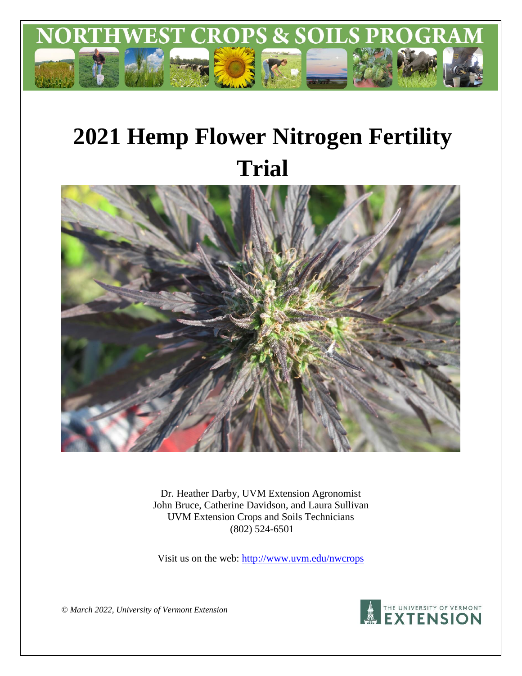

# **2021 Hemp Flower Nitrogen Fertility Trial**



Dr. Heather Darby, UVM Extension Agronomist John Bruce, Catherine Davidson, and Laura Sullivan UVM Extension Crops and Soils Technicians (802) 524-6501

Visit us on the web:<http://www.uvm.edu/nwcrops>

**A THE UNIVERSITY OF VERMONT** 

*© March 2022, University of Vermont Extension*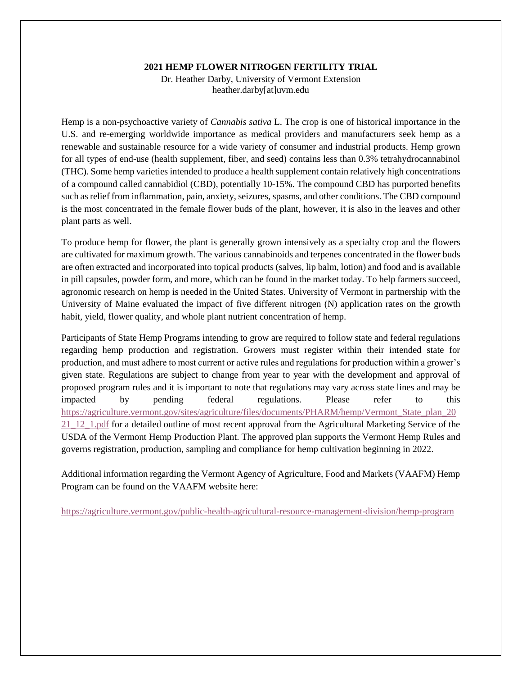#### **2021 HEMP FLOWER NITROGEN FERTILITY TRIAL**

Dr. Heather Darby, University of Vermont Extension heather.darby[at]uvm.edu

Hemp is a non-psychoactive variety of *Cannabis sativa* L. The crop is one of historical importance in the U.S. and re-emerging worldwide importance as medical providers and manufacturers seek hemp as a renewable and sustainable resource for a wide variety of consumer and industrial products. Hemp grown for all types of end-use (health supplement, fiber, and seed) contains less than 0.3% tetrahydrocannabinol (THC). Some hemp varieties intended to produce a health supplement contain relatively high concentrations of a compound called cannabidiol (CBD), potentially 10-15%. The compound CBD has purported benefits such as relief from inflammation, pain, anxiety, seizures, spasms, and other conditions. The CBD compound is the most concentrated in the female flower buds of the plant, however, it is also in the leaves and other plant parts as well.

To produce hemp for flower, the plant is generally grown intensively as a specialty crop and the flowers are cultivated for maximum growth. The various cannabinoids and terpenes concentrated in the flower buds are often extracted and incorporated into topical products (salves, lip balm, lotion) and food and is available in pill capsules, powder form, and more, which can be found in the market today. To help farmers succeed, agronomic research on hemp is needed in the United States. University of Vermont in partnership with the University of Maine evaluated the impact of five different nitrogen (N) application rates on the growth habit, yield, flower quality, and whole plant nutrient concentration of hemp.

Participants of State Hemp Programs intending to grow are required to follow state and federal regulations regarding hemp production and registration. Growers must register within their intended state for production, and must adhere to most current or active rules and regulations for production within a grower's given state. Regulations are subject to change from year to year with the development and approval of proposed program rules and it is important to note that regulations may vary across state lines and may be impacted by pending federal regulations. Please refer to this [https://agriculture.vermont.gov/sites/agriculture/files/documents/PHARM/hemp/Vermont\\_State\\_plan\\_20](https://agriculture.vermont.gov/sites/agriculture/files/documents/PHARM/hemp/Vermont_State_plan_2021_12_1.pdf) [21\\_12\\_1.pdf](https://agriculture.vermont.gov/sites/agriculture/files/documents/PHARM/hemp/Vermont_State_plan_2021_12_1.pdf) for a detailed outline of most recent approval from the Agricultural Marketing Service of the USDA of the Vermont Hemp Production Plant. The approved plan supports the Vermont Hemp Rules and governs registration, production, sampling and compliance for hemp cultivation beginning in 2022.

Additional information regarding the Vermont Agency of Agriculture, Food and Markets (VAAFM) Hemp Program can be found on the VAAFM website here:

<https://agriculture.vermont.gov/public-health-agricultural-resource-management-division/hemp-program>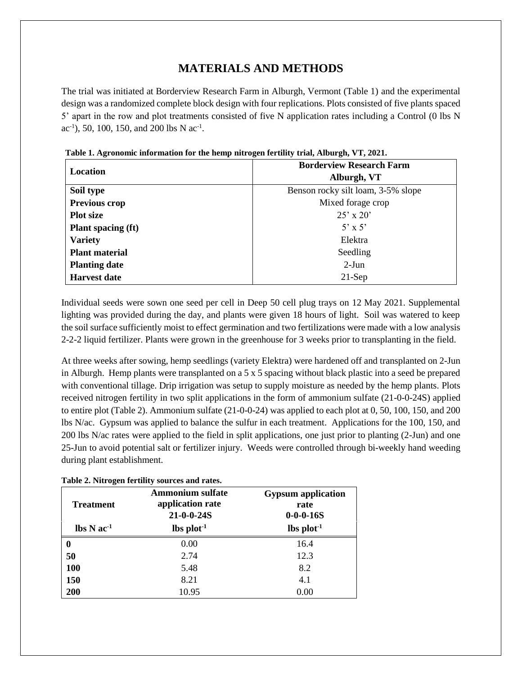## **MATERIALS AND METHODS**

The trial was initiated at Borderview Research Farm in Alburgh, Vermont (Table 1) and the experimental design was a randomized complete block design with four replications. Plots consisted of five plants spaced 5' apart in the row and plot treatments consisted of five N application rates including a Control (0 lbs N ac<sup>-1</sup>), 50, 100, 150, and 200 lbs N ac<sup>-1</sup>.

|                           | <b>Borderview Research Farm</b>    |
|---------------------------|------------------------------------|
| Location                  | Alburgh, VT                        |
| Soil type                 | Benson rocky silt loam, 3-5% slope |
| Previous crop             | Mixed forage crop                  |
| <b>Plot size</b>          | $25' \times 20'$                   |
| <b>Plant spacing (ft)</b> | $5' \times 5'$                     |
| <b>Variety</b>            | Elektra                            |
| <b>Plant material</b>     | Seedling                           |
| <b>Planting date</b>      | $2-Jun$                            |
| <b>Harvest date</b>       | $21-Sep$                           |

**Table 1. Agronomic information for the hemp nitrogen fertility trial, Alburgh, VT, 2021.**

Individual seeds were sown one seed per cell in Deep 50 cell plug trays on 12 May 2021. Supplemental lighting was provided during the day, and plants were given 18 hours of light. Soil was watered to keep the soil surface sufficiently moist to effect germination and two fertilizations were made with a low analysis 2-2-2 liquid fertilizer. Plants were grown in the greenhouse for 3 weeks prior to transplanting in the field.

At three weeks after sowing, hemp seedlings (variety Elektra) were hardened off and transplanted on 2-Jun in Alburgh. Hemp plants were transplanted on a 5 x 5 spacing without black plastic into a seed be prepared with conventional tillage. Drip irrigation was setup to supply moisture as needed by the hemp plants. Plots received nitrogen fertility in two split applications in the form of ammonium sulfate (21-0-0-24S) applied to entire plot (Table 2). Ammonium sulfate (21-0-0-24) was applied to each plot at 0, 50, 100, 150, and 200 lbs N/ac. Gypsum was applied to balance the sulfur in each treatment. Applications for the 100, 150, and 200 lbs N/ac rates were applied to the field in split applications, one just prior to planting (2-Jun) and one 25-Jun to avoid potential salt or fertilizer injury. Weeds were controlled through bi-weekly hand weeding during plant establishment.

| <b>Treatment</b>                           | <b>Ammonium sulfate</b><br>application rate<br>$21 - 0 - 0 - 24S$ | <b>Gypsum</b> application<br>rate<br>$0 - 0 - 0 - 16S$ |
|--------------------------------------------|-------------------------------------------------------------------|--------------------------------------------------------|
| $\text{lbs} \, \text{N} \, \text{ac}^{-1}$ | $\mathbf{lbs}\ \mathbf{plot}^{-1}$                                | $\text{lbs plot}^{-1}$                                 |
| 0                                          | 0.00                                                              | 16.4                                                   |
| 50                                         | 2.74                                                              | 12.3                                                   |
| 100                                        | 5.48                                                              | 8.2                                                    |
| 150                                        | 8.21                                                              | 4.1                                                    |
| 200                                        | 10.95                                                             | 0.00                                                   |

**Table 2. Nitrogen fertility sources and rates.**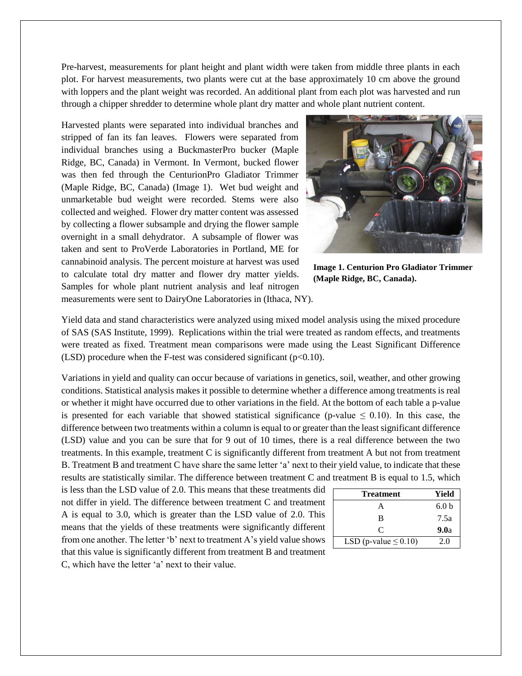Pre-harvest, measurements for plant height and plant width were taken from middle three plants in each plot. For harvest measurements, two plants were cut at the base approximately 10 cm above the ground with loppers and the plant weight was recorded. An additional plant from each plot was harvested and run through a chipper shredder to determine whole plant dry matter and whole plant nutrient content.

Harvested plants were separated into individual branches and stripped of fan its fan leaves. Flowers were separated from individual branches using a BuckmasterPro bucker (Maple Ridge, BC, Canada) in Vermont. In Vermont, bucked flower was then fed through the CenturionPro Gladiator Trimmer (Maple Ridge, BC, Canada) (Image 1). Wet bud weight and unmarketable bud weight were recorded. Stems were also collected and weighed. Flower dry matter content was assessed by collecting a flower subsample and drying the flower sample overnight in a small dehydrator. A subsample of flower was taken and sent to ProVerde Laboratories in Portland, ME for cannabinoid analysis. The percent moisture at harvest was used to calculate total dry matter and flower dry matter yields. Samples for whole plant nutrient analysis and leaf nitrogen measurements were sent to DairyOne Laboratories in (Ithaca, NY).



**Image 1. Centurion Pro Gladiator Trimmer (Maple Ridge, BC, Canada).**

Yield data and stand characteristics were analyzed using mixed model analysis using the mixed procedure of SAS (SAS Institute, 1999). Replications within the trial were treated as random effects, and treatments were treated as fixed. Treatment mean comparisons were made using the Least Significant Difference (LSD) procedure when the F-test was considered significant ( $p<0.10$ ).

Variations in yield and quality can occur because of variations in genetics, soil, weather, and other growing conditions. Statistical analysis makes it possible to determine whether a difference among treatments is real or whether it might have occurred due to other variations in the field. At the bottom of each table a p-value is presented for each variable that showed statistical significance (p-value  $\leq 0.10$ ). In this case, the difference between two treatments within a column is equal to or greater than the least significant difference (LSD) value and you can be sure that for 9 out of 10 times, there is a real difference between the two treatments. In this example, treatment C is significantly different from treatment A but not from treatment B. Treatment B and treatment C have share the same letter 'a' next to their yield value, to indicate that these results are statistically similar. The difference between treatment C and treatment B is equal to 1.5, which

is less than the LSD value of 2.0. This means that these treatments did not differ in yield. The difference between treatment C and treatment A is equal to 3.0, which is greater than the LSD value of 2.0. This means that the yields of these treatments were significantly different from one another. The letter 'b' next to treatment A's yield value shows that this value is significantly different from treatment B and treatment C, which have the letter 'a' next to their value.

| <b>Treatment</b>           | Yield            |
|----------------------------|------------------|
| А                          | 6.0 <sub>b</sub> |
| B                          | 7.5a             |
| C                          | 9.0a             |
| LSD (p-value $\leq 0.10$ ) | 2.0              |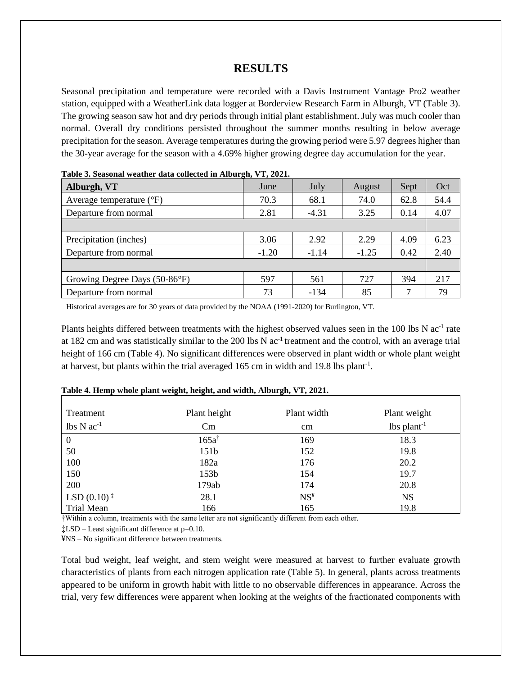## **RESULTS**

Seasonal precipitation and temperature were recorded with a Davis Instrument Vantage Pro2 weather station, equipped with a WeatherLink data logger at Borderview Research Farm in Alburgh, VT (Table 3). The growing season saw hot and dry periods through initial plant establishment. July was much cooler than normal. Overall dry conditions persisted throughout the summer months resulting in below average precipitation for the season. Average temperatures during the growing period were 5.97 degrees higher than the 30-year average for the season with a 4.69% higher growing degree day accumulation for the year.

| Alburgh, VT                       | June    | July    | August  | Sept | Oct  |  |  |  |  |
|-----------------------------------|---------|---------|---------|------|------|--|--|--|--|
| Average temperature $(^{\circ}F)$ | 70.3    | 68.1    | 74.0    | 62.8 | 54.4 |  |  |  |  |
| Departure from normal             | 2.81    | $-4.31$ | 3.25    | 0.14 | 4.07 |  |  |  |  |
|                                   |         |         |         |      |      |  |  |  |  |
| Precipitation (inches)            | 3.06    | 2.92    | 2.29    | 4.09 | 6.23 |  |  |  |  |
| Departure from normal             | $-1.20$ | $-1.14$ | $-1.25$ | 0.42 | 2.40 |  |  |  |  |
|                                   |         |         |         |      |      |  |  |  |  |
| Growing Degree Days (50-86°F)     | 597     | 561     | 727     | 394  | 217  |  |  |  |  |
| Departure from normal             | 73      | $-134$  | 85      |      | 79   |  |  |  |  |

| Table 3. Seasonal weather data collected in Alburgh, VT, 2021. |  |  |  |  |  |
|----------------------------------------------------------------|--|--|--|--|--|
|                                                                |  |  |  |  |  |

Historical averages are for 30 years of data provided by the NOAA (1991-2020) for Burlington, VT.

Plants heights differed between treatments with the highest observed values seen in the 100 lbs N  $ac^{-1}$  rate at 182 cm and was statistically similar to the 200 lbs N ac<sup>-1</sup> treatment and the control, with an average trial height of 166 cm (Table 4). No significant differences were observed in plant width or whole plant weight at harvest, but plants within the trial averaged 165 cm in width and 19.8 lbs plant<sup>-1</sup>.

| Treatment                                     | Plant height     | Plant width     | Plant weight              |
|-----------------------------------------------|------------------|-----------------|---------------------------|
| $lbs N ac-1$                                  | Cm               | cm              | $lbs$ plant <sup>-1</sup> |
| $\boldsymbol{0}$                              | $165a^{\dagger}$ | 169             | 18.3                      |
| 50                                            | 151 <sub>b</sub> | 152             | 19.8                      |
| 100                                           | 182a             | 176             | 20.2                      |
| 150                                           | 153 <sub>b</sub> | 154             | 19.7                      |
| 200                                           | 179ab            | 174             | 20.8                      |
| LSD $(0.10)$ <sup><math>\ddagger</math></sup> | 28.1             | NS <sup>F</sup> | <b>NS</b>                 |
| Trial Mean                                    | 166              | 165             | 19.8                      |

#### **Table 4. Hemp whole plant weight, height, and width, Alburgh, VT, 2021.**

†Within a column, treatments with the same letter are not significantly different from each other.

‡LSD – Least significant difference at p=0.10.

¥NS – No significant difference between treatments.

Total bud weight, leaf weight, and stem weight were measured at harvest to further evaluate growth characteristics of plants from each nitrogen application rate (Table 5). In general, plants across treatments appeared to be uniform in growth habit with little to no observable differences in appearance. Across the trial, very few differences were apparent when looking at the weights of the fractionated components with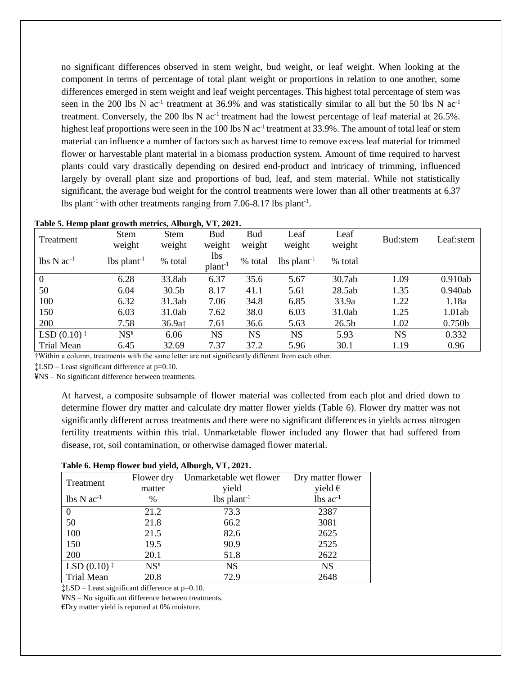no significant differences observed in stem weight, bud weight, or leaf weight. When looking at the component in terms of percentage of total plant weight or proportions in relation to one another, some differences emerged in stem weight and leaf weight percentages. This highest total percentage of stem was seen in the 200 lbs N ac<sup>-1</sup> treatment at 36.9% and was statistically similar to all but the 50 lbs N ac<sup>-1</sup> treatment. Conversely, the 200 lbs N  $ac<sup>-1</sup>$  treatment had the lowest percentage of leaf material at 26.5%. highest leaf proportions were seen in the 100 lbs N ac<sup>-1</sup> treatment at 33.9%. The amount of total leaf or stem material can influence a number of factors such as harvest time to remove excess leaf material for trimmed flower or harvestable plant material in a biomass production system. Amount of time required to harvest plants could vary drastically depending on desired end-product and intricacy of trimming, influenced largely by overall plant size and proportions of bud, leaf, and stem material. While not statistically significant, the average bud weight for the control treatments were lower than all other treatments at 6.37 lbs plant<sup>-1</sup> with other treatments ranging from  $7.06 - 8.17$  lbs plant<sup>-1</sup>.

| Treatment                                     | <b>Stem</b><br>weight     | <b>Stem</b><br>weight | <b>Bud</b><br>weight       | <b>Bud</b><br>weight | Leaf<br>weight            | Leaf<br>weight    | Bud:stem  | Leaf:stem          |
|-----------------------------------------------|---------------------------|-----------------------|----------------------------|----------------------|---------------------------|-------------------|-----------|--------------------|
| $\text{lbs} \, \text{N} \, \text{ac}^{-1}$    | $lbs$ plant <sup>-1</sup> | % total               | lbs<br>plant <sup>-1</sup> | % total              | $lbs$ plant <sup>-1</sup> | % total           |           |                    |
| $\mathbf{0}$                                  | 6.28                      | 33.8ab                | 6.37                       | 35.6                 | 5.67                      | 30.7ab            | 1.09      | 0.910ab            |
| 50                                            | 6.04                      | 30.5 <sub>b</sub>     | 8.17                       | 41.1                 | 5.61                      | 28.5ab            | 1.35      | 0.940ab            |
| 100                                           | 6.32                      | 31.3ab                | 7.06                       | 34.8                 | 6.85                      | 33.9a             | 1.22      | 1.18a              |
| 150                                           | 6.03                      | 31.0ab                | 7.62                       | 38.0                 | 6.03                      | 31.0ab            | 1.25      | 1.01ab             |
| 200                                           | 7.58                      | 36.9a <sup>+</sup>    | 7.61                       | 36.6                 | 5.63                      | 26.5 <sub>b</sub> | 1.02      | 0.750 <sub>b</sub> |
| LSD $(0.10)$ <sup><math>\ddagger</math></sup> | NS <sup>4</sup>           | 6.06                  | <b>NS</b>                  | <b>NS</b>            | <b>NS</b>                 | 5.93              | <b>NS</b> | 0.332              |
| Trial Mean                                    | 6.45                      | 32.69                 | 7.37                       | 37.2                 | 5.96                      | 30.1              | 1.19      | 0.96               |

#### **Table 5. Hemp plant growth metrics, Alburgh, VT, 2021.**

†Within a column, treatments with the same letter are not significantly different from each other.

‡LSD – Least significant difference at p=0.10.

¥NS – No significant difference between treatments.

At harvest, a composite subsample of flower material was collected from each plot and dried down to determine flower dry matter and calculate dry matter flower yields (Table 6). Flower dry matter was not significantly different across treatments and there were no significant differences in yields across nitrogen fertility treatments within this trial. Unmarketable flower included any flower that had suffered from disease, rot, soil contamination, or otherwise damaged flower material.

| Treatment                                     | Flower dry      | Unmarketable wet flower   | Dry matter flower |
|-----------------------------------------------|-----------------|---------------------------|-------------------|
|                                               | matter          | yield                     | yield $\epsilon$  |
| $lbs \text{N} ac^{-1}$                        | $\%$            | $lbs$ plant <sup>-1</sup> | $lbs$ $ac^{-1}$   |
|                                               | 21.2            | 73.3                      | 2387              |
| 50                                            | 21.8            | 66.2                      | 3081              |
| 100                                           | 21.5            | 82.6                      | 2625              |
| 150                                           | 19.5            | 90.9                      | 2525              |
| 200                                           | 20.1            | 51.8                      | 2622              |
| LSD $(0.10)$ <sup><math>\ddagger</math></sup> | NS <sup>4</sup> | <b>NS</b>                 | <b>NS</b>         |
| <b>Trial Mean</b>                             | 20.8            | 72.9                      | 2648              |

#### **Table 6. Hemp flower bud yield, Alburgh, VT, 2021.**

‡LSD – Least significant difference at p=0.10.

¥NS – No significant difference between treatments.

**€**Dry matter yield is reported at 0% moisture.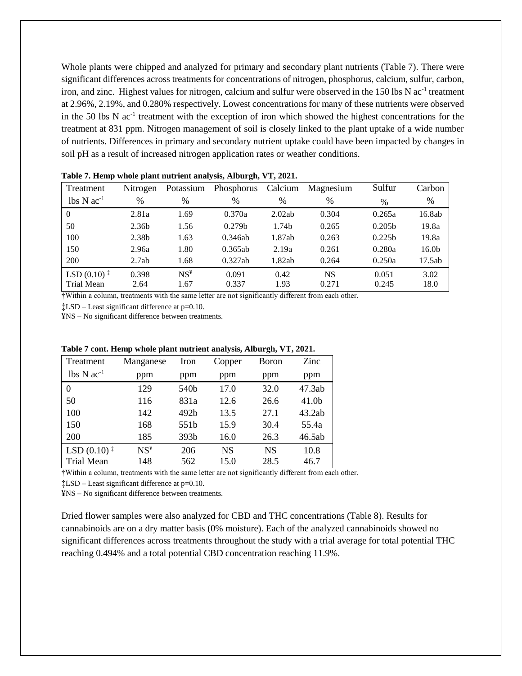Whole plants were chipped and analyzed for primary and secondary plant nutrients (Table 7). There were significant differences across treatments for concentrations of nitrogen, phosphorus, calcium, sulfur, carbon, iron, and zinc. Highest values for nitrogen, calcium and sulfur were observed in the 150 lbs N ac<sup>-1</sup> treatment at 2.96%, 2.19%, and 0.280% respectively. Lowest concentrations for many of these nutrients were observed in the 50 lbs N  $ac^{-1}$  treatment with the exception of iron which showed the highest concentrations for the treatment at 831 ppm. Nitrogen management of soil is closely linked to the plant uptake of a wide number of nutrients. Differences in primary and secondary nutrient uptake could have been impacted by changes in soil pH as a result of increased nitrogen application rates or weather conditions.

| Treatment                                     | Nitrogen          | Potassium          | Phosphorus         | Calcium           | Magnesium | Sulfur             | Carbon            |
|-----------------------------------------------|-------------------|--------------------|--------------------|-------------------|-----------|--------------------|-------------------|
| $\text{lbs} \text{N} \text{ac}^{-1}$          | $\%$              | $\frac{0}{0}$      | $\frac{0}{0}$      | $\frac{0}{0}$     | %         | %                  | $\%$              |
| $\Omega$                                      | 2.81a             | 1.69               | 0.370a             | 2.02ab            | 0.304     | 0.265a             | 16.8ab            |
| 50                                            | 2.36b             | 1.56               | 0.279 <sub>b</sub> | 1.74 <sub>b</sub> | 0.265     | 0.205 <sub>b</sub> | 19.8a             |
| 100                                           | 2.38 <sub>b</sub> | 1.63               | 0.346ab            | 1.87ab            | 0.263     | 0.225 <sub>b</sub> | 19.8a             |
| 150                                           | 2.96a             | 1.80               | 0.365ab            | 2.19a             | 0.261     | 0.280a             | 16.0 <sub>b</sub> |
| 200                                           | 2.7ab             | 1.68               | 0.327ab            | 1.82ab            | 0.264     | 0.250a             | 17.5ab            |
| LSD $(0.10)$ <sup><math>\ddagger</math></sup> | 0.398             | $NS^{\frac{1}{2}}$ | 0.091              | 0.42              | <b>NS</b> | 0.051              | 3.02              |
| Trial Mean                                    | 2.64              | 1.67               | 0.337              | 1.93              | 0.271     | 0.245              | 18.0              |

**Table 7. Hemp whole plant nutrient analysis, Alburgh, VT, 2021.**

†Within a column, treatments with the same letter are not significantly different from each other.

‡LSD – Least significant difference at p=0.10.

¥NS – No significant difference between treatments.

| Treatment                                     | Manganese       | Iron | Copper    | <b>Boron</b> | Zinc              |
|-----------------------------------------------|-----------------|------|-----------|--------------|-------------------|
| $lbs N ac-1$                                  | ppm             | ppm  | ppm       | ppm          | ppm               |
| 0                                             | 129             | 540b | 17.0      | 32.0         | 47.3ab            |
| 50                                            | 116             | 831a | 12.6      | 26.6         | 41.0 <sub>b</sub> |
| 100                                           | 142             | 492b | 13.5      | 27.1         | 43.2ab            |
| 150                                           | 168             | 551b | 15.9      | 30.4         | 55.4a             |
| 200                                           | 185             | 393b | 16.0      | 26.3         | 46.5ab            |
| LSD $(0.10)$ <sup><math>\ddagger</math></sup> | NS <sup>Y</sup> | 206  | <b>NS</b> | <b>NS</b>    | 10.8              |
| <b>Trial Mean</b>                             | 148             | 562  | 15.0      | 28.5         | 46.7              |

#### **Table 7 cont. Hemp whole plant nutrient analysis, Alburgh, VT, 2021.**

†Within a column, treatments with the same letter are not significantly different from each other.

‡LSD – Least significant difference at p=0.10.

¥NS – No significant difference between treatments.

Dried flower samples were also analyzed for CBD and THC concentrations (Table 8). Results for cannabinoids are on a dry matter basis (0% moisture). Each of the analyzed cannabinoids showed no significant differences across treatments throughout the study with a trial average for total potential THC reaching 0.494% and a total potential CBD concentration reaching 11.9%.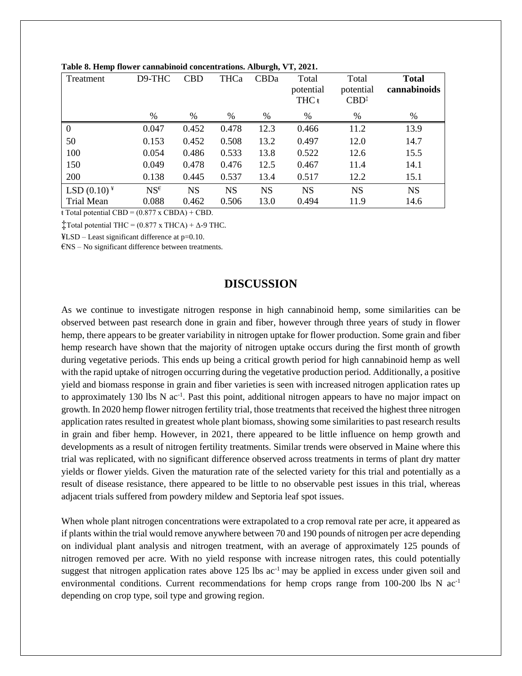| Treatment      | D9-THC          | <b>CBD</b> | <b>THCa</b> | CBDa      | Total<br>potential<br>THC <sub>t</sub> | Total<br>potential<br>$CBD^{\ddagger}$ | <b>Total</b><br>cannabinoids |
|----------------|-----------------|------------|-------------|-----------|----------------------------------------|----------------------------------------|------------------------------|
|                | $\%$            | $\%$       | %           | %         | %                                      | %                                      | $\%$                         |
| $\overline{0}$ | 0.047           | 0.452      | 0.478       | 12.3      | 0.466                                  | 11.2                                   | 13.9                         |
| 50             | 0.153           | 0.452      | 0.508       | 13.2      | 0.497                                  | 12.0                                   | 14.7                         |
| 100            | 0.054           | 0.486      | 0.533       | 13.8      | 0.522                                  | 12.6                                   | 15.5                         |
| 150            | 0.049           | 0.478      | 0.476       | 12.5      | 0.467                                  | 11.4                                   | 14.1                         |
| 200            | 0.138           | 0.445      | 0.537       | 13.4      | 0.517                                  | 12.2                                   | 15.1                         |
| LSD $(0.10)^*$ | $NS^{\epsilon}$ | <b>NS</b>  | <b>NS</b>   | <b>NS</b> | <b>NS</b>                              | <b>NS</b>                              | <b>NS</b>                    |
| Trial Mean     | 0.088           | 0.462      | 0.506       | 13.0      | 0.494                                  | 11.9                                   | 14.6                         |

**Table 8. Hemp flower cannabinoid concentrations. Alburgh, VT, 2021.**

 $\overline{\text{t Total potential CBD}} = (0.877 \times \text{CBDA}) + \text{CBD}.$ 

 $\ddagger$ Total potential THC = (0.877 x THCA) +  $\Delta$ -9 THC.

¥LSD – Least significant difference at p=0.10.

 $E$ NS – No significant difference between treatments.

## **DISCUSSION**

As we continue to investigate nitrogen response in high cannabinoid hemp, some similarities can be observed between past research done in grain and fiber, however through three years of study in flower hemp, there appears to be greater variability in nitrogen uptake for flower production. Some grain and fiber hemp research have shown that the majority of nitrogen uptake occurs during the first month of growth during vegetative periods. This ends up being a critical growth period for high cannabinoid hemp as well with the rapid uptake of nitrogen occurring during the vegetative production period. Additionally, a positive yield and biomass response in grain and fiber varieties is seen with increased nitrogen application rates up to approximately 130 lbs N ac<sup>-1</sup>. Past this point, additional nitrogen appears to have no major impact on growth. In 2020 hemp flower nitrogen fertility trial, those treatments that received the highest three nitrogen application rates resulted in greatest whole plant biomass, showing some similarities to past research results in grain and fiber hemp. However, in 2021, there appeared to be little influence on hemp growth and developments as a result of nitrogen fertility treatments. Similar trends were observed in Maine where this trial was replicated, with no significant difference observed across treatments in terms of plant dry matter yields or flower yields. Given the maturation rate of the selected variety for this trial and potentially as a result of disease resistance, there appeared to be little to no observable pest issues in this trial, whereas adjacent trials suffered from powdery mildew and Septoria leaf spot issues.

When whole plant nitrogen concentrations were extrapolated to a crop removal rate per acre, it appeared as if plants within the trial would remove anywhere between 70 and 190 pounds of nitrogen per acre depending on individual plant analysis and nitrogen treatment, with an average of approximately 125 pounds of nitrogen removed per acre. With no yield response with increase nitrogen rates, this could potentially suggest that nitrogen application rates above 125 lbs ac<sup>-1</sup> may be applied in excess under given soil and environmental conditions. Current recommendations for hemp crops range from  $100-200$  lbs N  $ac^{-1}$ depending on crop type, soil type and growing region.